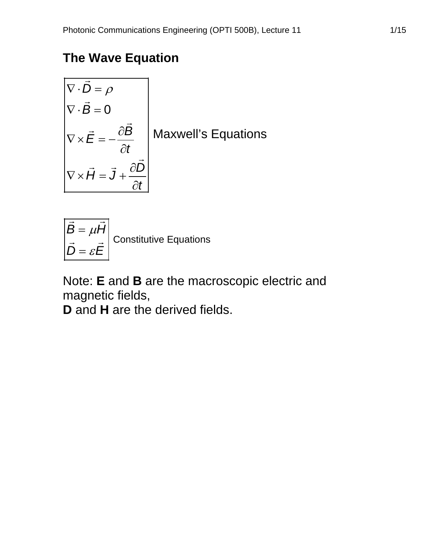# **The Wave Equation**

$$
\begin{aligned}\n\nabla \cdot \vec{D} &= \rho \\
\nabla \cdot \vec{B} &= 0 \\
\nabla \times \vec{E} &= -\frac{\partial \vec{B}}{\partial t} \\
\nabla \times \vec{H} &= \vec{J} + \frac{\partial \vec{D}}{\partial t}\n\end{aligned}
$$
Maxwell's Equations

$$
\begin{vmatrix} \vec{B} = \mu \vec{H} \\ \vec{D} = \varepsilon \vec{E} \end{vmatrix}
$$
 Constitutive Equations

Note: **E** and **B** are the macroscopic electric and magnetic fields,

**D** and **H** are the derived fields.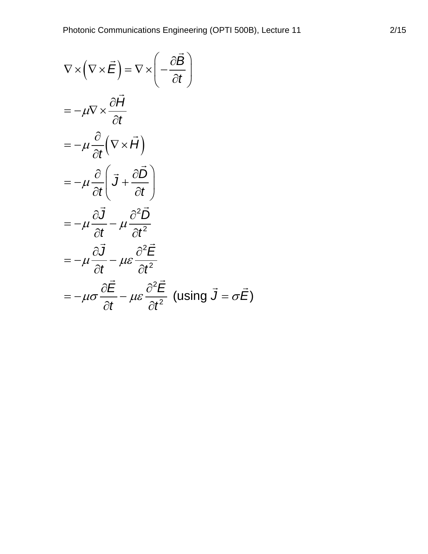$$
\nabla \times (\nabla \times \vec{E}) = \nabla \times \left( -\frac{\partial \vec{B}}{\partial t} \right)
$$
  
=\ -\mu \nabla \times \frac{\partial \vec{H}}{\partial t}  
=\ -\mu \frac{\partial}{\partial t} (\nabla \times \vec{H})  
=\ -\mu \frac{\partial}{\partial t} (\vec{J} + \frac{\partial \vec{D}}{\partial t})  
=\ -\mu \frac{\partial \vec{J}}{\partial t} - \mu \frac{\partial^2 \vec{D}}{\partial t^2}  
=\ -\mu \frac{\partial \vec{J}}{\partial t} - \mu \varepsilon \frac{\partial^2 \vec{E}}{\partial t^2}  
=\ -\mu \sigma \frac{\partial \vec{E}}{\partial t} - \mu \varepsilon \frac{\partial^2 \vec{E}}{\partial t^2} \text{ (using } \vec{J} = \sigma \vec{E})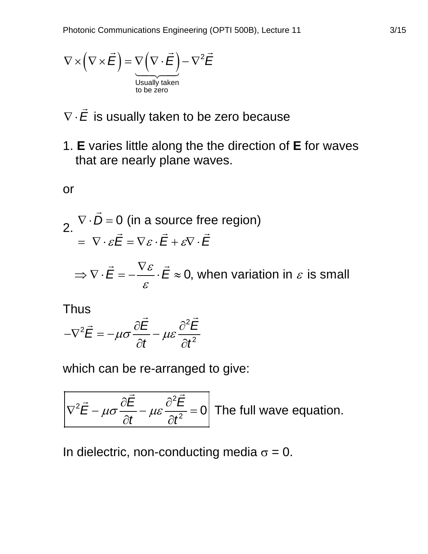$$
\nabla \times (\nabla \times \vec{E}) = \underbrace{\nabla (\nabla \cdot \vec{E})}_{\text{Usually taken}} - \nabla^2 \vec{E}
$$

- ∇ ⋅*E*  $\rightarrow$ is usually taken to be zero because
- 1. **E** varies little along the the direction of **E** for waves that are nearly plane waves.

or

 $\rightarrow$ 

2. 
$$
\nabla \cdot D = 0
$$
 (in a source free region)  
\n
$$
= \nabla \cdot \varepsilon \vec{E} = \nabla \varepsilon \cdot \vec{E} + \varepsilon \nabla \cdot \vec{E}
$$
\n
$$
\Rightarrow \nabla \cdot \vec{E} = -\frac{\nabla \varepsilon}{\nabla \cdot \vec{E}} \approx 0
$$
, when variation in  $\varepsilon$  is small

Thus

Thus  

$$
-\nabla^2 \vec{E} = -\mu \sigma \frac{\partial \vec{E}}{\partial t} - \mu \varepsilon \frac{\partial^2 \vec{E}}{\partial t^2}
$$

ε

which can be re-arranged to give:

2 2  $\vec{E} - \mu \sigma \frac{\partial E}{\partial t} - \mu \varepsilon \frac{\partial^2 E}{\partial t^2} = 0$  $\frac{\mu\sigma}{\partial t} - \mu\varepsilon \frac{\tau}{\partial t}$  $\nabla^2 \vec{E} - \mu \sigma \frac{\partial E}{\partial t} - \mu \varepsilon \frac{\partial^2 E}{\partial t^2} =$  $\partial t$   $\rightarrow$   $\partial$  $\vec{\Xi} - \mu \sigma \frac{\partial \vec{E}}{\partial t} - \mu \varepsilon \frac{\partial^2 \vec{E}}{\partial t^2} = 0$  The full wave equation.

In dielectric, non-conducting media  $\sigma = 0$ .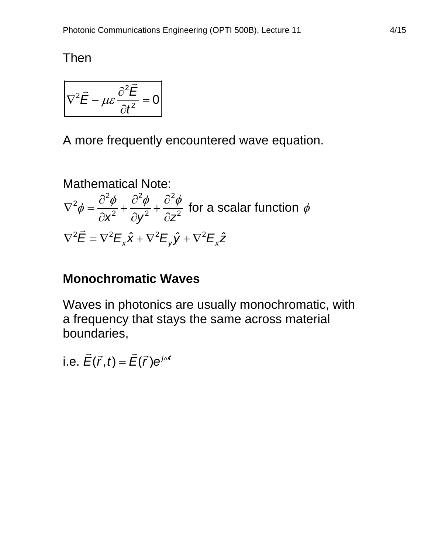Then

$$
\nabla^2 \vec{E} - \mu \varepsilon \frac{\partial^2 \vec{E}}{\partial t^2} = 0
$$

A more frequently encountered wave equation.

Mathematical Note:  $24 \t2^2$   $2^2$ 2  $\frac{\gamma}{2} + \frac{\sigma \phi}{\lambda} + \frac{\sigma \phi}{\lambda^2}$  for a scalar function  $\nabla^2 \vec{E} = \nabla^2 E_x \hat{x} + \nabla^2 E_y \hat{y} + \nabla^2 E_x \hat{z}$ *x*<sup>2</sup>  $\partial y^2$   $\partial z$  $\nabla^2 \phi = \frac{\partial^2 \phi}{\partial x^2} + \frac{\partial^2 \phi}{\partial y^2} + \frac{\partial^2 \phi}{\partial z^2}$  for a scalar function  $\phi$  $\partial x^2$   $\partial y^2$   $\partial$ 

# **Monochromatic Waves**

Waves in photonics are usually monochromatic, with a frequency that stays the same across material boundaries,

i.e.  $\vec{E}(\vec{r},t) = \vec{E}(\vec{r})e^{j\omega t}$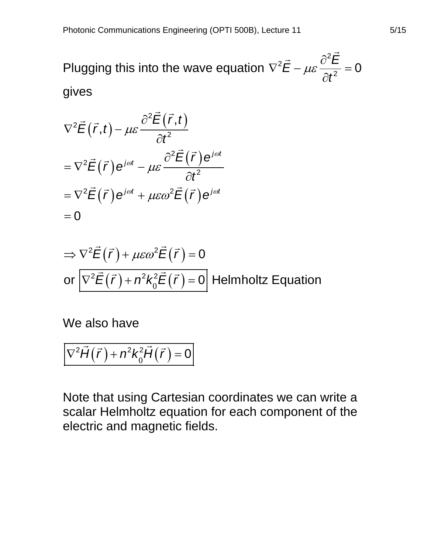Plugging this into the wave equation 2 2  $\vec{E} - \mu \varepsilon \frac{\partial^2 E}{\partial t^2} = 0$  $\mu\varepsilon\frac{\partial f}{\partial t}$  $\nabla^2 \vec{E} - \mu \varepsilon \frac{\partial^2 E}{\partial x^2} =$  $\partial$  $\vec{c}$   $\frac{\partial^2 \vec{F}}{\partial \vec{r}}$ gives

$$
\nabla^2 \vec{E}(\vec{r},t) - \mu \varepsilon \frac{\partial^2 \vec{E}(\vec{r},t)}{\partial t^2}
$$
  
= 
$$
\nabla^2 \vec{E}(\vec{r}) e^{j\omega t} - \mu \varepsilon \frac{\partial^2 \vec{E}(\vec{r}) e^{j\omega t}}{\partial t^2}
$$
  
= 
$$
\nabla^2 \vec{E}(\vec{r}) e^{j\omega t} + \mu \varepsilon \omega^2 \vec{E}(\vec{r}) e^{j\omega t}
$$
  
= 0

$$
\Rightarrow \nabla^2 \vec{E}(\vec{r}) + \mu \varepsilon \omega^2 \vec{E}(\vec{r}) = 0
$$
  
or 
$$
\nabla^2 \vec{E}(\vec{r}) + n^2 k_0^2 \vec{E}(\vec{r}) = 0
$$
 Helmholtz Equation

We also have

$$
\overline{\nabla^2 \vec{H}(\vec{r}) + n^2 k_0^2 \vec{H}(\vec{r})} = 0
$$

Note that using Cartesian coordinates we can write a scalar Helmholtz equation for each component of the electric and magnetic fields.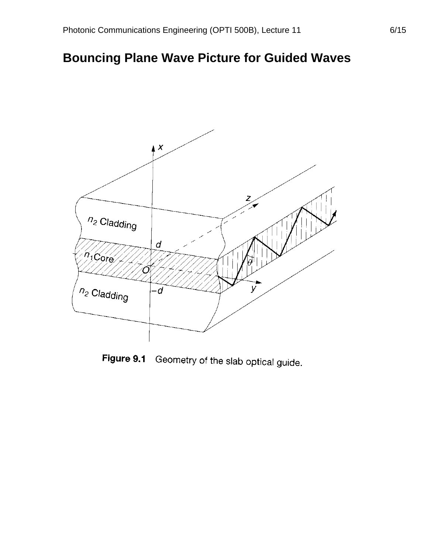## **Bouncing Plane Wave Picture for Guided Waves**



Figure 9.1 Geometry of the slab optical guide.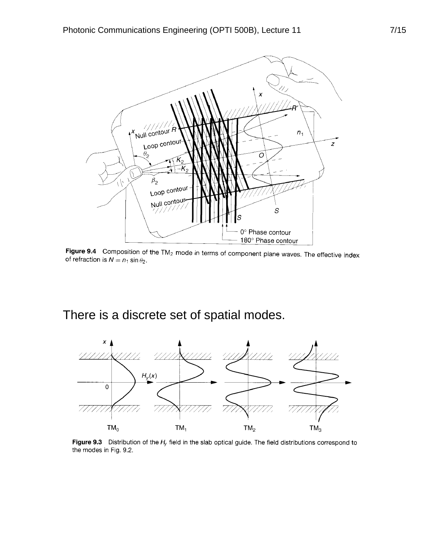

**Figure 9.4** Composition of the TM<sub>2</sub> mode in terms of component plane waves. The effective index of refraction is  $N = n_1 \sin \theta_2$ .

## There is a discrete set of spatial modes.



Figure 9.3 Distribution of the  $H_y$  field in the slab optical guide. The field distributions correspond to the modes in Fig. 9.2.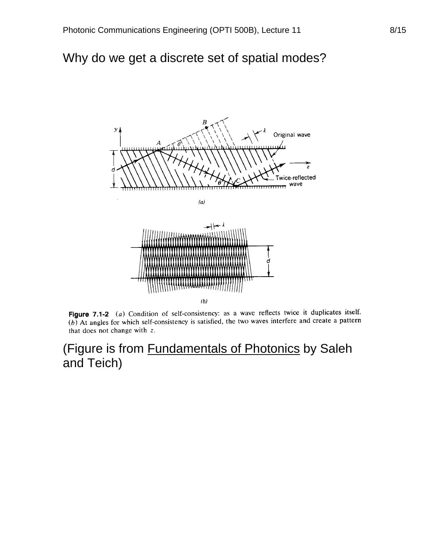#### Why do we get a discrete set of spatial modes?



Figure 7.1-2 (a) Condition of self-consistency: as a wave reflects twice it duplicates itself. (b) At angles for which self-consistency is satisfied, the two waves interfere and create a pattern that does not change with z.

### (Figure is from Fundamentals of Photonics by Saleh and Teich)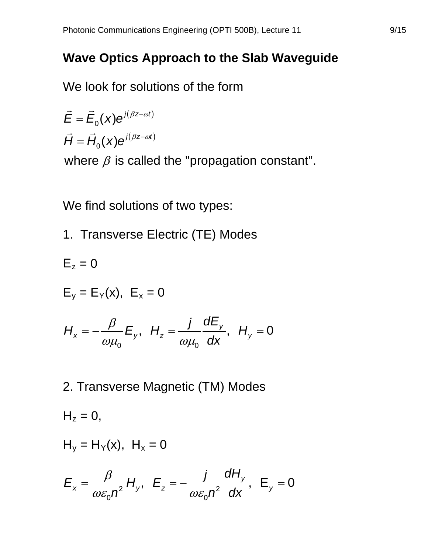### **Wave Optics Approach to the Slab Waveguide**

We look for solutions of the form

$$
\vec{E} = \vec{E}_0(x)e^{j(\beta z - \omega t)}
$$

$$
\vec{H} = \vec{H}_0(x)e^{j(\beta z - \omega t)}
$$

where  $\beta$  is called the "propagation constant".

We find solutions of two types:

1. Transverse Electric (TE) Modes

$$
E_z = 0
$$
  
\n
$$
E_y = E_Y(x), \quad E_x = 0
$$
  
\n
$$
H_x = -\frac{\beta}{\omega\mu_0} E_y, \quad H_z = \frac{j}{\omega\mu_0} \frac{dE_y}{dx}, \quad H_y = 0
$$

2. Transverse Magnetic (TM) Modes

$$
H_z = 0,
$$
  
\n $H_y = H_Y(x), H_x = 0$   
\n $E_x = \frac{\beta}{\omega \varepsilon_0 n^2} H_y, E_z = -\frac{j}{\omega \varepsilon_0 n^2} \frac{dH_y}{dx}, E_y = 0$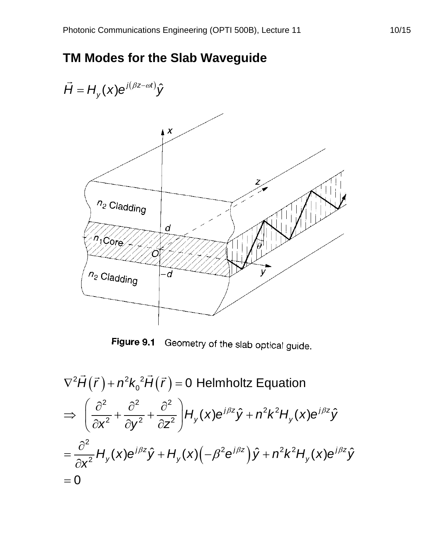## **TM Modes for the Slab Waveguide**



Figure 9.1 Geometry of the slab optical guide.

$$
\nabla^2 \vec{H}(\vec{r}) + n^2 k_0^2 \vec{H}(\vec{r}) = 0 \text{ Helmholtz Equation}
$$
  
\n
$$
\Rightarrow \left(\frac{\partial^2}{\partial x^2} + \frac{\partial^2}{\partial y^2} + \frac{\partial^2}{\partial z^2}\right) H_y(x) e^{j\beta z} \hat{y} + n^2 k^2 H_y(x) e^{j\beta z} \hat{y}
$$
  
\n
$$
= \frac{\partial^2}{\partial x^2} H_y(x) e^{j\beta z} \hat{y} + H_y(x) \left(-\beta^2 e^{j\beta z}\right) \hat{y} + n^2 k^2 H_y(x) e^{j\beta z} \hat{y}
$$
  
\n
$$
= 0
$$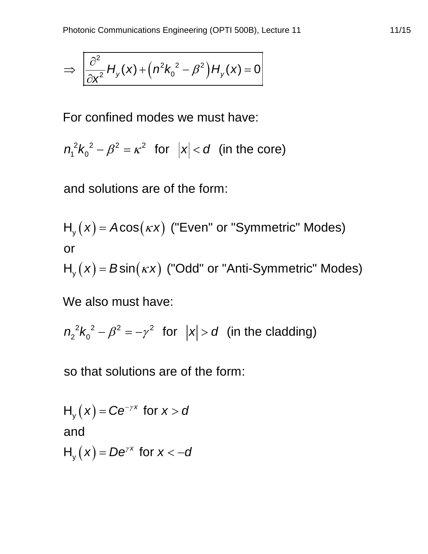$$
\Rightarrow \left| \frac{\partial^2}{\partial x^2} H_y(x) + \left( n^2 k_0^2 - \beta^2 \right) H_y(x) = 0 \right|
$$

For confined modes we must have:

$$
n_1^2k_0^2 - \beta^2 = \kappa^2 \text{ for } |x| < d \text{ (in the core)}
$$

and solutions are of the form:

$$
H_y(x) = A\cos(\kappa x)
$$
 ("Even" or "Symmetric" Models)  
or

 $H_y(x) = B \sin(\kappa x)$  ("Odd" or "Anti-Symmetric" Modes)

We also must have:

 $^{2}V^{2}$   $^{2}$   $^{2}$   $^{2}$  $n_2^2k_0^2 - \beta^2 = -\gamma^2$  for  $|x| > d$  (in the cladding)

so that solutions are of the form:

 $H_y(x) = Ce^{-\gamma x}$  for  $x > a$  $H_{y}(x)$  =  $De^{\gamma x}$  for  $x < -d$ and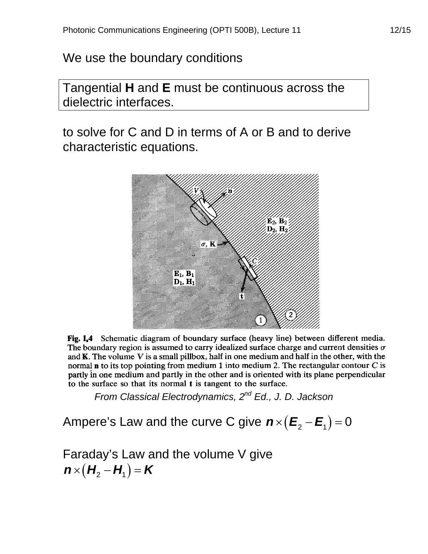We use the boundary conditions

Tangential **H** and **E** must be continuous across the dielectric interfaces.

to solve for C and D in terms of A or B and to derive characteristic equations.



Fig. I.4 Schematic diagram of boundary surface (heavy line) between different media. The boundary region is assumed to carry idealized surface charge and current densities  $\sigma$ and  $K$ . The volume  $V$  is a small pillbox, half in one medium and half in the other, with the normal  $n$  to its top pointing from medium 1 into medium 2. The rectangular contour  $C$  is partly in one medium and partly in the other and is oriented with its plane perpendicular to the surface so that its normal t is tangent to the surface.

*From Classical Electrodynamics, 2nd Ed., J. D. Jackson*

Ampere's Law and the curve C give  $n\times (E_2-E_1)=0$ 

Faraday's Law and the volume V give  $\mathbf{n}\times(\mathbf{H}_{2}-\mathbf{H}_{1})=\mathbf{K}$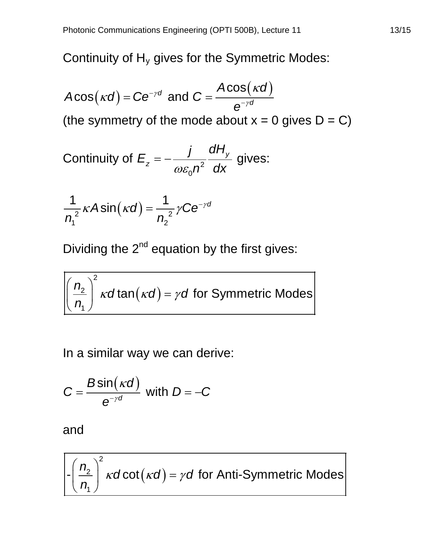Continuity of  $H_v$  gives for the Symmetric Modes:

 $A\text{cos}(\kappa d)$  =  $\text{Ce}^{-\gamma d}$  and  $\text{C} = \frac{A\text{cos}(\kappa d)}{\text{e}^{-\gamma d}}$ *e* γ γ  $k(d)$  = Ce<sup>-yd</sup> and C =  $\frac{ACOS(K)}{2a^{-rd}}$ (the symmetry of the mode about  $x = 0$  gives  $D = C$ )

Continuity of 
$$
E_z = -\frac{j}{\omega \varepsilon_0 n^2} \frac{dH_y}{dx}
$$
 gives:

$$
\frac{1}{n_1^2} \kappa A \sin(\kappa d) = \frac{1}{n_2^2} \gamma C e^{-\gamma d}
$$

Dividing the  $2<sup>nd</sup>$  equation by the first gives:

 $(\kappa d)$ 2 2 1  $\left(\frac{n_2}{n_1}\right)^T$ *kd* tan $(\kappa d)$  =  $\gamma d$  for Symmetric Modes *n*  $k$ a tan ( $k$ a) =  $\gamma$  $(n, )$  $\left|\frac{n_2}{n}\right|$  *k*dtan(*kd*) =  $\binom{n}{1}$ 

In a similar way we can derive:

$$
C = \frac{B\sin(\kappa d)}{e^{-\gamma d}} \text{ with } D = -C
$$

and

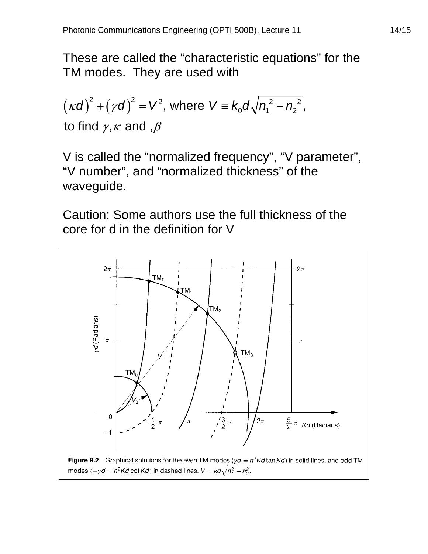These are called the "characteristic equations" for the TM modes. They are used with

$$
(\kappa d)^2 + (\gamma d)^2 = V^2
$$
, where  $V = k_0 d \sqrt{n_1^2 - n_2^2}$ ,  
to find  $\gamma$ ,  $\kappa$  and  $\beta$ 

V is called the "normalized frequency", "V parameter", "V number", and "normalized thickness" of the waveguide.

Caution: Some authors use the full thickness of the core for d in the definition for V